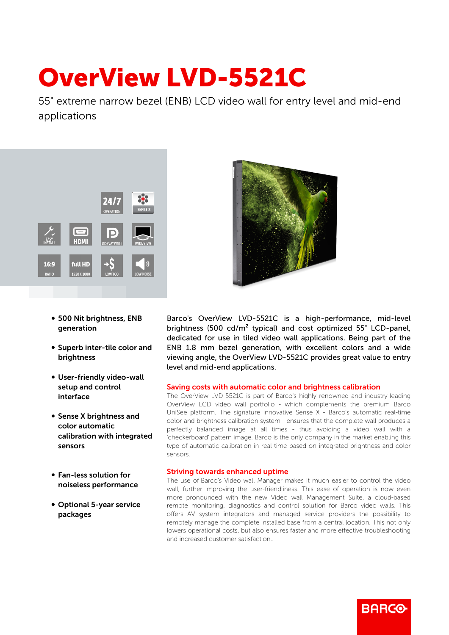## OverView LVD-5521C

55" extreme narrow bezel (ENB) LCD video wall for entry level and mid-end applications



- 500 Nit brightness, ENB generation
- Superb inter-tile color and brightness
- User-friendly video-wall setup and control interface
- Sense X brightness and color automatic calibration with integrated sensors
- b Fan-less solution for noiseless performance
- Optional 5-year service packages



Barco's OverView LVD-5521C is a high-performance, mid-level brightness (500 cd/m² typical) and cost optimized 55" LCD-panel, dedicated for use in tiled video wall applications. Being part of the ENB 1.8 mm bezel generation, with excellent colors and a wide viewing angle, the OverView LVD-5521C provides great value to entry level and mid-end applications.

## Saving costs with automatic color and brightness calibration

The OverView LVD-5521C is part of Barco's highly renowned and industry-leading OverView LCD video wall portfolio - which complements the premium Barco UniSee platform. The signature innovative Sense X - Barco's automatic real-time color and brightness calibration system - ensures that the complete wall produces a perfectly balanced image at all times - thus avoiding a video wall with a 'checkerboard' pattern image. Barco is the only company in the market enabling this type of automatic calibration in real-time based on integrated brightness and color sensors.

## Striving towards enhanced uptime

The use of Barco's Video wall Manager makes it much easier to control the video wall, further improving the user-friendliness. This ease of operation is now even more pronounced with the new Video wall Management Suite, a cloud-based remote monitoring, diagnostics and control solution for Barco video walls. This offers AV system integrators and managed service providers the possibility to remotely manage the complete installed base from a central location. This not only lowers operational costs, but also ensures faster and more effective troubleshooting and increased customer satisfaction..

**BARCO**